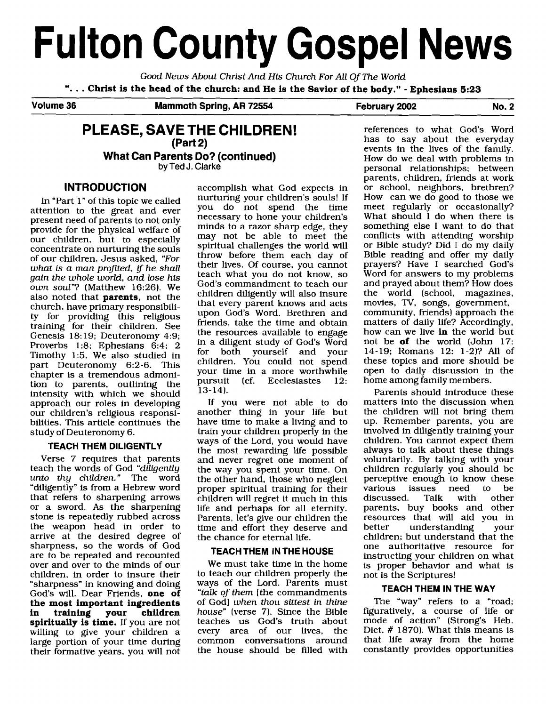# **Fulton County Gospel News**

Good News About Christ And **His** Church For All Of The World ". . . **Christ is the head of the church: and He is the Savior of the body."** - **Ephesians 5:23** 

Volume 36 **Mammoth Spring, AR 72554** February 2002 No. 2

# **PLEASE, SAVE THE CHILDREN! (Part 2) What Can Parents Do? (continued) by Ted J. Clarke**

# **INTRODUCTION**

In "Part 1" of this topic we called attention to the great and ever present need of parents to not only provide for the physical welfare of our children, but to especially concentrate on nurturing the souls of our children. Jesus asked, "For what is a man profited, if he shall gain the whole world, and lose his own soul"? (Matthew 16:26). We also noted that **parents,** not the church, have primary responsibility for providing this religious training for their children. See Genesis 18: 19; Deuteronomy 4:9; Proverbs 1:8; Ephesians 6:4; 2 Timothy 1:5. We also studied in part Deuteronomy 6:2-6. This chapter is a tremendous admonition to parents, outlining the intensity with which we should approach our roles in developing our children's religious responsibilities. This article continues the study of Deuteronomy 6.

## **'TEACH THEM DILIGENTLY**

Verse 7 requires that parents teach the words of God "diligently unto thy children." The word "diligently" is from a Hebrew word that refers to sharpening arrows or a sword. As the sharpening stone is repeatedly rubbed across the weapon head in order to arrive at the desired degree of sharpness, so the words of God are to be repeated and recounted over and over to the minds of our children, in order to insure their "sharpness" in knowing and doing God's will. Dear Friends, **one of the most important ingredients**  training **spiritually is time.** If you are not willing to give your children a large portion of your time during their formative years, you will not accomplish what God expects in nurturing your children's souls! If you do not spend the time necessary to hone your children's minds to a razor sharp edge, they may not be able to meet the spiritual challenges the world will throw before them each day of their lives. Of course, you cannot teach what you do not know, so God's commandment to teach our children diligently will also insure that every parent knows and acts upon God's Word. Brethren and friends, take the time and obtain the resources available to engage in a diligent study of God's Word both yourself and your children. You could not spend your time in a more worthwhile<br>pursuit (cf. Ecclesiastes 12. pursuit (cf. Ecclesiastes 13-14).

If you were not able to do another thing in your life but have time to make a living and to train your children properly in the ways of the Lord, you would have the most rewarding life possible and never regret one moment of the way you spent your time. On the other hand, those who neglect proper spiritual training for their children will regret it much in this life and perhaps for all eternity. Parents, let's give our children the time and effort they deseme and the chance for eternal life.

## **TEACH THEM IN 'THE HOUSE**

We must take time in the home to teach our children properly the ways of the Lord. Parents must "talk of them [the commandments of God] when thou sittest in thine house" (verse 7). Since the Bible teaches us God's truth about every area of our lives, the common conversations around the house should be filled with

references to what God's Word has to say about the everyday events in the lives of the family. How do we deal with problems in personal relationships; between parents, children, friends at work or school, neighbors, brethren? How can we do good to those we meet regularly or occasionally? What should I do when there is something else I want to do that conflicts with attending worship or Bible study? Did I do my daily Bible reading and offer my daily prayers? Have I searched God's Word for answers to my problems and prayed about them? How does the world (school, magazines, movies, TV, songs, government, community, friends) approach the matters of daily life? Accordingly, how can we live **in** the world but not be **of** the world (John 17: 14-19; Romans 12: 1-2)? All of these topics and more should be open to daily discussion in the home among family members.

Parents should introduce these matters into the discussion when the children will not bring them up. Remember parents, you are involved in diligently training your children. You cannot expect them always to talk about these things voluntarily. By talking with your children regularly you should be perceptive enough to know these<br>various issues need to be issues need to be<br>d. Talk with other discussed. parents, buy books and other resources that will aid you in better understanding your children; but understand that the one authoritative resource for instructing your children on what is proper behavior and what is not is the Scriptures!

#### **TEACH THEM IN 'THE WAY**

The "way" refers to a "road; figuratively, a course of life or mode of action" (Strong's Heb. Dict.  $# 1870$ . What this means is that life away from the home constantly provides opportunities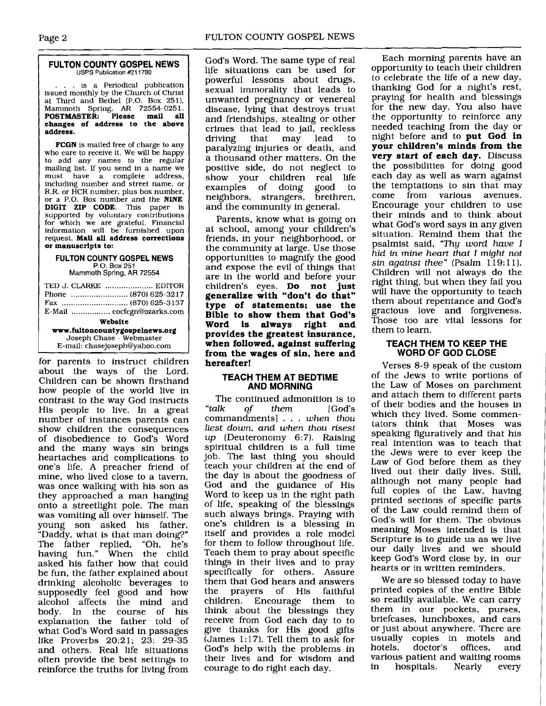#### **FULTON COUNTY GOSPEL NEWS**  USPS Publication **#211780**

... is a Periodical publication issued monthly by the Church of Christ at Third and Bethel (P.O. Box 251), Mammoth Spring, **AR** 72554-025 **1. POSTMASTER: Please mail all changes of address to the above address.** 

**FCGN** is mailed free of charge to any who care to receive it. We will be happy to add any names to the regular mailing list. If you send in a name we<br>must have a complete address. have a complete address, including number and street name, or R.R. or HCR number, plus box number, or a P.O. Box number and the **NINE DIGIT ZIP CODE.** This paper is supported by voluntary contributions for which we are grateful. Financial information will be furnished upon request. **Mall all address corrections or manuscripts to:** 

#### **FULTON COUNTY GOSPEL NEWS P.O.** Box **251**

Mammoth Spring, **AR** 72554

| TED J. CLARKE  EDITOR<br>Phone  (870) 625-3217 |  |  |
|------------------------------------------------|--|--|
| E-Mail  cocfcgn@ozarks.com                     |  |  |
| Website                                        |  |  |
| www.fultoncountygospelnews.org                 |  |  |
| Joseph Chase - Webmaster                       |  |  |
| E-mail: chasejoseph@yahoo.com                  |  |  |

for parents to instruct children about the ways of the Lord. Children can be shown firsthand how people of the world live in contrast to the way God instructs His people to live. In a great number of instances parents can show children the consequences of disobedience to God's Word and the many ways sin brings heartaches and complications to one's life. A preacher friend of mine, who lived close to a tavern, was once walking with his son as they approached a man hanging onto a streetlight pole. The man was vomiting all over himself. The young son asked his father, "Daddy, what is that man doing?" The father replied, "Oh, he's having fun." When the child asked his father how that could be fun, the father explained about drinking alcoholic beverages to supposedly feel good and how alcohol affects the mind and body. In the course of his explanation the father told of what God's Word said in passages like Proverbs **20:2** 1; 23: 29-35 and others. Real life situations often provide the best settings to reinforce the truths for living from

God's Word. The same type of real life situations can be used for powerful lessons about drugs, sexual immorality that leads to unwanted pregnancy or venereal disease, lying that destroys trust and friendships, stealing or other crimes that lead to jail, reckless<br>driving that may lead to driving paralyzing injuries or death, and a thousand other matters. On the positive side, do not neglect to show your children real life<br>examples of doing good to examples of doing neighbors, strangers, brethren, and the community in general.

Parents, know what is going on at school, among your children's friends, in your neighborhood, or the community at large. Use those opportunities to magnify the good and expose the evil of things that are in the world and before your children's eyes. **Do not just generalize with "don't do that" type of statements; use the Bible to show them that God's Word is always right provides the greatest insurance, when followed, against suffering from the wages of sin, here and hereafter!** 

#### **TEACH THEM AT BEDTIME AND MORNING**

The continued admonition is to<br>"talk of them [God's of them [God's commandments] ... when thou liest down, and when thou risest up (Deuteronomy **6:7).** Raising spiritual children is a full time job. The last thing you should teach your children at the end of the day is about the goodness of God and the guidance of His Word to keep us in the right path of life, speaking of the blessings such always brings. Praying with one's children is a blessing in itself and provides a role model for them to follow throughout life. Teach them to pray about specific things in their lives and to pray specifically for others. Assure them that God hears and answers<br>the prayers of His faithful the prayers children. Encourage them to think about the blessings they receive from God each day to to give thanks for His good gifts  $(James 1:17)$ . Tell them to ask for God's help with the problems in their lives and for wisdom and courage to do right each day.

Each morning parents have an opportunity to teach their children to celebrate the life of a new day, thanking God for a night's rest, praying for health and blessings for the new day. You also have the opportunity to reinforce any needed teaching from the day or night before and to **put God in your children's minds from the very start of each day.** Discuss the possibilities for doing good each day as well as warn against the temptations to sin that may<br>come from various avenues. come from various Encourage your children to use their minds and to think about what God's word says in any given situation. Remind them that the psalmist said, "Thy word have **1**  hid in mine heart that I might not sin against thee" (Psalm 119:11). Children will not always do the right thing, but when they fail you will have the opportunity to teach them about repentance and God's gracious love and forgiveness. Those too are vital lessons for them to learn.

#### **TEACH THEM TO KEEP THE WORD OF GOD CLOSE**

Verses 8-9 speak of the custom of the Jews to write portions of the Law of Moses on parchment and attach them to different parts of their bodies and the houses in which they lived. Some commentators think that Moses was speaking figuratively and that his real intention was to teach that the Jews were to ever keep the Law of God before them as they lived out their daily lives. Still, although not many people had full copies of the Law, having printed sections of specific parts of the Law could remind them of God's will for them. The obvious meaning Moses intended is that Scripture is to guide us as we live our daily lives and we should keep God's Word close by, in our hearts or in written reminders.

We are so blessed today to have printed copies of the entire Bible so readily available. We can carry them in our pockets, purses, briefcases, lunchboxes, and cars or just about anywhere. There are usually copies in motels and<br>hotels, doctor's offices, and doctor's offices, and various patient and waiting rooms in hospitals. Nearly every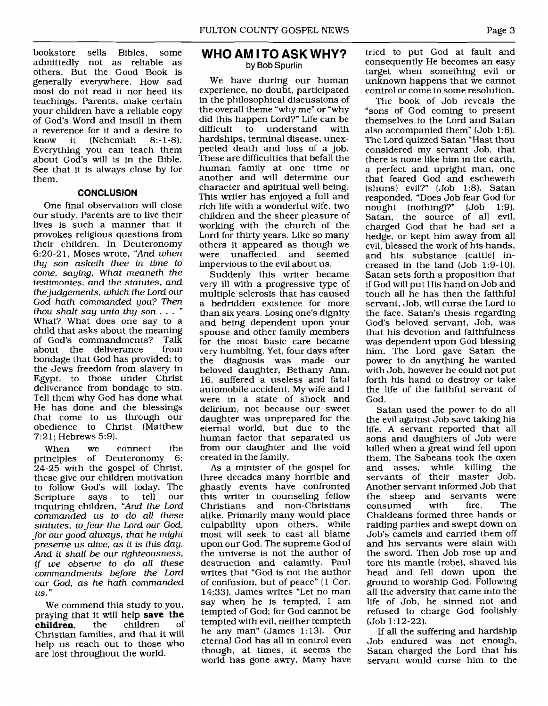bookstore sells Bibles, some admittedly not as reliable as others. But the Good Book is generally everywhere. How sad most do not read it nor heed its teachings. Parents, make certain your children have a reliable copy of God's Word and instill in them a reverence for it and a desire to<br>know it (Nehemiah 8:-1-8). (Nehemiah Everything you can teach them about God's will is in the Bible. See that it is always close by for them.

#### **CONCLUSION**

One final observation will close our study. Parents are to live their lives is such a manner that it provokes religious questions from their children. In Deuteronomy 6:20-2 1, Moses wrote, *"And when thy son asketh thee in time to come, saying, What meaneth the testimonies, and the statutes, and the judgements, which the Lord our God hath commanded you? Then thou shalt say unto thy son* . . . What? What does one say to a child that asks about the meaning of God's commandments? Talk<br>about the deliverance from about the deliverance bondage that God has provided; to the Jews freedom from slavery in Egypt, to those under Christ deliverance from bondage to sin. Tell them why God has done what He has done and the blessings that come to us through our obedience to Christ (Matthew 7:21; Hebrews 5:91.

When we connect the<br>inciples of Deuteronomy 6: principles of Deuteronomy 24-25 with the gospel of Christ, these give our children motivation to follow God's will today. The Scripture says to tell our inquiring children, *"And the Lord commanded us to do all these statutes, to fear the Lord our God, for our good always, that he might preserve us alive, as it* **is** *this day. And it shall be our righteousness,*  if we observe to do all these *commandments before the Lord our God, as he hath commanded us.* "

We commend this study to you, praying that it will help **save the**  children, Christian families, and that it will help us reach out to those who are lost throughout the world.

#### **WHO AM I TO ASK WHY? by Bob** Spurlin

We have during our human experience, no doubt, participated in the philosophical discussions of the overall theme "why me" or "why did this happen Lord?" Life can be<br>difficult to understand with understand hardships, terminal disease, unexpected death and loss of a job. These are difficulties that befall the human family at one time or another and will determine our character and spiritual well being. This writer has enjoyed a full and rich life with a wonderful wife, two children and the sheer pleasure of working with the church of the Lord for thirty years. Like so many others it appeared as though we unaffected and seemed impervious to the evil about us.

Suddenly this writer became very ill with a progressive type of multiple sclerosis that has caused a bedridden existence for more than six years. Losing one's dignity and being dependent upon your spouse and other family members for the most basic care became very humbling. Yet, four days after the diagnosis was made our beloved daughter, Bethany Ann, 16, suffered a useless and fatal automobile accident. My wife and I were in a state of shock and delirium, not because our sweet daughter was unprepared for the eternal world, but due to the human factor that separated us from our daughter and the void created in the family.

As a minister of the gospel for three decades many horrible and ghastly events have confronted this writer in counseling fellow<br>Christians and non-Christians and non-Christians alike. Primarily many would place culpability upon others, while most will seek to cast all blame upon our God. The supreme God of the universe is not the author of destruction and calamity. Paul writes that "God is not the author of confusion, but of peace" (1 Cor. 14:33). James writes "Let no man say when he is tempted, I am tempted of God; for God cannot be tempted with evil, neither tempteth he any man" (James 1:13). Our eternal God has all in control even though, at times, it seems the world has gone awry. Many have

tried to put God at fault and consequently He becomes an easy target when something evil or unknown happens that we cannot control or come to some resolution.

The book of Job reveals the "sons of God coming to present themselves to the Lord and Satan also accompanied them" (Job 1:6). The Lord quizzed Satan "Hast thou considered my servant Job, that there is none like him in the earth, a perfect and upright man, one that feared God and escheweth (shuns) evil?" (Job 1:8). Satan responded, "Does Job fear God for nought (nothing)?" (Job 1:9). Satan, the source of all evil, charged God that he had set a hedge, or kept him away from all evil, blessed the work of his hands, and his substance (cattle) increased in the land (Job 1:9-10). Satan sets forth a proposition that if God will put His hand on Job and touch all he has then the faithful servant, Job, will curse the Lord to the face. Satan's thesis regarding God's beloved servant, Job, was that his devotion and faithfulness was dependent upon God blessing him. The Lord gave Satan the power to do anything he wanted with Job, however he could not put forth his hand to destroy or take the life of the faithful servant of God.

Satan used the power to do all the evil against Job save taking his life. A servant reported that all sons and daughters of Job were killed when a great wind fell upon them. The Sabeans took the oxen and asses, while killing the servants of their master Job. Another servant informed Job that the sheep and servants were<br>consumed with fire. The consumed Chaldeans formed three bands or raiding parties and swept down on Job's camels and carried them off and his servants were slain with the sword. Then Job rose up and tore his mantle (robe), shaved his head and fell down upon the ground to worship God. Following all the adversity that came into the life of Job, he sinned not and refused to charge God foolishly (Job 1: 12-22).

If all the suffering **and** hardship Job endured was not enough, Satan charged the Lord that his servant would curse him to the